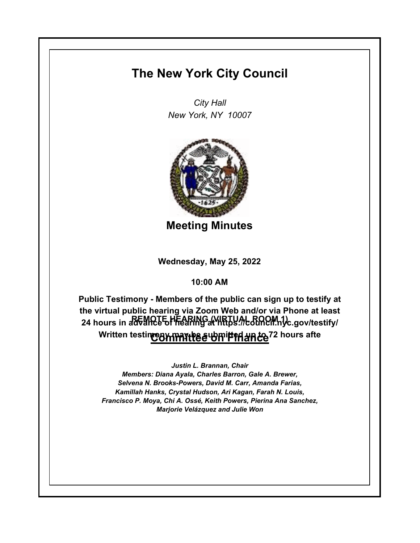## **The New York City Council**

*City Hall New York, NY 10007*



**Meeting Minutes**

**Wednesday, May 25, 2022**

**10:00 AM**

**REMOTE HEARING (VIRTUAL ROOM 1) 24 hours in advance of hearing at https://council.nyc.gov/testify/ Committee on Finance Written testimony may be submitted up to 72 hours aftePublic Testimony - Members of the public can sign up to testify at the virtual public hearing via Zoom Web and/or via Phone at least** 

*Justin L. Brannan, Chair Members: Diana Ayala, Charles Barron, Gale A. Brewer, Selvena N. Brooks-Powers, David M. Carr, Amanda Farias, Kamillah Hanks, Crystal Hudson, Ari Kagan, Farah N. Louis, Francisco P. Moya, Chi A. Ossé, Keith Powers, Pierina Ana Sanchez, Marjorie Velázquez and Julie Won*